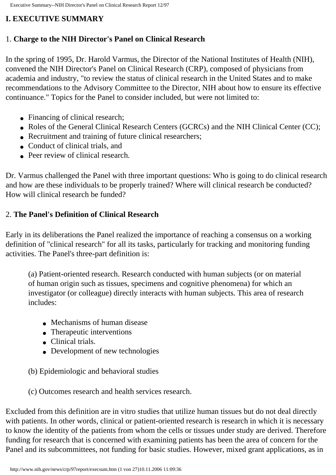# <span id="page-0-0"></span>**I. EXECUTIVE SUMMARY**

### 1. **Charge to the NIH Director's Panel on Clinical Research**

In the spring of 1995, Dr. Harold Varmus, the Director of the National Institutes of Health (NIH), convened the NIH Director's Panel on Clinical Research (CRP), composed of physicians from academia and industry, "to review the status of clinical research in the United States and to make recommendations to the Advisory Committee to the Director, NIH about how to ensure its effective continuance." Topics for the Panel to consider included, but were not limited to:

- Financing of clinical research;
- Roles of the General Clinical Research Centers (GCRCs) and the NIH Clinical Center (CC);
- Recruitment and training of future clinical researchers;
- Conduct of clinical trials, and
- Peer review of clinical research.

Dr. Varmus challenged the Panel with three important questions: Who is going to do clinical research and how are these individuals to be properly trained? Where will clinical research be conducted? How will clinical research be funded?

# 2. **The Panel's Definition of Clinical Research**

Early in its deliberations the Panel realized the importance of reaching a consensus on a working definition of "clinical research" for all its tasks, particularly for tracking and monitoring funding activities. The Panel's three-part definition is:

(a) Patient-oriented research. Research conducted with human subjects (or on material of human origin such as tissues, specimens and cognitive phenomena) for which an investigator (or colleague) directly interacts with human subjects. This area of research includes:

- Mechanisms of human disease
- Therapeutic interventions
- Clinical trials.
- Development of new technologies
- (b) Epidemiologic and behavioral studies
- (c) Outcomes research and health services research.

Excluded from this definition are in vitro studies that utilize human tissues but do not deal directly with patients. In other words, clinical or patient-oriented research is research in which it is necessary to know the identity of the patients from whom the cells or tissues under study are derived. Therefore funding for research that is concerned with examining patients has been the area of concern for the Panel and its subcommittees, not funding for basic studies. However, mixed grant applications, as in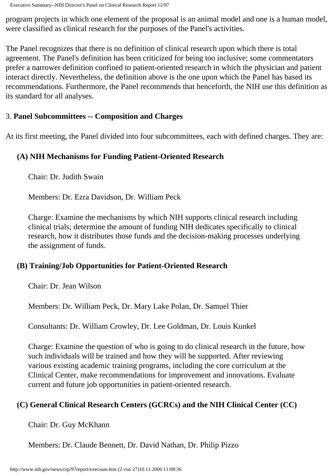program projects in which one element of the proposal is an animal model and one is a human model, were classified as clinical research for the purposes of the Panel's activities.

The Panel recognizes that there is no definition of clinical research upon which there is total agreement. The Panel's definition has been criticized for being too inclusive; some commentators prefer a narrower definition confined to patient-oriented research in which the physician and patient interact directly. Nevertheless, the definition above is the one upon which the Panel has based its recommendations. Furthermore, the Panel recommends that henceforth, the NIH use this definition as its standard for all analyses.

#### 3. **Panel Subcommittees -- Composition and Charges**

At its first meeting, the Panel divided into four subcommittees, each with defined charges. They are:

#### **(A) NIH Mechanisms for Funding Patient-Oriented Research**

Chair: Dr. Judith Swain

Members: Dr. Ezra Davidson, Dr. William Peck

Charge: Examine the mechanisms by which NIH supports clinical research including clinical trials; determine the amount of funding NIH dedicates specifically to clinical research, how it distributes those funds and the decision-making processes underlying the assignment of funds.

#### **(B) Training/Job Opportunities for Patient-Oriented Research**

Chair: Dr. Jean Wilson

Members: Dr. William Peck, Dr. Mary Lake Polan, Dr. Samuel Thier

Consultants: Dr. William Crowley, Dr. Lee Goldman, Dr. Louis Kunkel

Charge: Examine the question of who is going to do clinical research in the future, how such individuals will be trained and how they will be supported. After reviewing various existing academic training programs, including the core curriculum at the Clinical Center, make recommendations for improvement and innovations. Evaluate current and future job opportunities in patient-oriented research.

#### **(C) General Clinical Research Centers (GCRCs) and the NIH Clinical Center (CC)**

Chair: Dr. Guy McKhann

Members: Dr. Claude Bennett, Dr. David Nathan, Dr. Philip Pizzo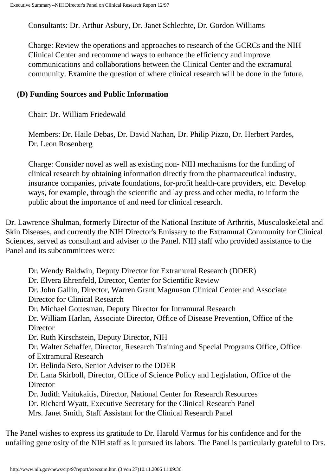Consultants: Dr. Arthur Asbury, Dr. Janet Schlechte, Dr. Gordon Williams

Charge: Review the operations and approaches to research of the GCRCs and the NIH Clinical Center and recommend ways to enhance the efficiency and improve communications and collaborations between the Clinical Center and the extramural community. Examine the question of where clinical research will be done in the future.

#### **(D) Funding Sources and Public Information**

Chair: Dr. William Friedewald

Members: Dr. Haile Debas, Dr. David Nathan, Dr. Philip Pizzo, Dr. Herbert Pardes, Dr. Leon Rosenberg

Charge: Consider novel as well as existing non- NIH mechanisms for the funding of clinical research by obtaining information directly from the pharmaceutical industry, insurance companies, private foundations, for-profit health-care providers, etc. Develop ways, for example, through the scientific and lay press and other media, to inform the public about the importance of and need for clinical research.

Dr. Lawrence Shulman, formerly Director of the National Institute of Arthritis, Musculoskeletal and Skin Diseases, and currently the NIH Director's Emissary to the Extramural Community for Clinical Sciences, served as consultant and adviser to the Panel. NIH staff who provided assistance to the Panel and its subcommittees were:

Dr. Wendy Baldwin, Deputy Director for Extramural Research (DDER) Dr. Elvera Ehrenfeld, Director, Center for Scientific Review Dr. John Gallin, Director, Warren Grant Magnuson Clinical Center and Associate Director for Clinical Research Dr. Michael Gottesman, Deputy Director for Intramural Research Dr. William Harlan, Associate Director, Office of Disease Prevention, Office of the Director Dr. Ruth Kirschstein, Deputy Director, NIH Dr. Walter Schaffer, Director, Research Training and Special Programs Office, Office of Extramural Research Dr. Belinda Seto, Senior Adviser to the DDER Dr. Lana Skirboll, Director, Office of Science Policy and Legislation, Office of the **Director** Dr. Judith Vaitukaitis, Director, National Center for Research Resources Dr. Richard Wyatt, Executive Secretary for the Clinical Research Panel Mrs. Janet Smith, Staff Assistant for the Clinical Research Panel

The Panel wishes to express its gratitude to Dr. Harold Varmus for his confidence and for the unfailing generosity of the NIH staff as it pursued its labors. The Panel is particularly grateful to Drs.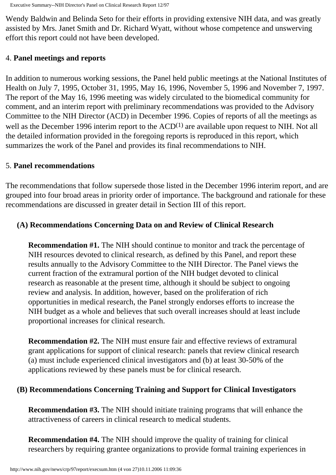Wendy Baldwin and Belinda Seto for their efforts in providing extensive NIH data, and was greatly assisted by Mrs. Janet Smith and Dr. Richard Wyatt, without whose competence and unswerving effort this report could not have been developed.

#### 4. **Panel meetings and reports**

In addition to numerous working sessions, the Panel held public meetings at the National Institutes of Health on July 7, 1995, October 31, 1995, May 16, 1996, November 5, 1996 and November 7, 1997. The report of the May 16, 1996 meeting was widely circulated to the biomedical community for comment, and an interim report with preliminary recommendations was provided to the Advisory Committee to the NIH Director (ACD) in December 1996. Copies of reports of all the meetings as well as the December 1996 interim report to the  $ACD<sup>(1)</sup>$  are available upon request to NIH. Not all the detailed information provided in the foregoing reports is reproduced in this report, which summarizes the work of the Panel and provides its final recommendations to NIH.

#### 5. **Panel recommendations**

The recommendations that follow supersede those listed in the December 1996 interim report, and are grouped into four broad areas in priority order of importance. The background and rationale for these recommendations are discussed in greater detail in Section III of this report.

#### **(A) Recommendations Concerning Data on and Review of Clinical Research**

**Recommendation #1.** The NIH should continue to monitor and track the percentage of NIH resources devoted to clinical research, as defined by this Panel, and report these results annually to the Advisory Committee to the NIH Director. The Panel views the current fraction of the extramural portion of the NIH budget devoted to clinical research as reasonable at the present time, although it should be subject to ongoing review and analysis. In addition, however, based on the proliferation of rich opportunities in medical research, the Panel strongly endorses efforts to increase the NIH budget as a whole and believes that such overall increases should at least include proportional increases for clinical research.

**Recommendation #2.** The NIH must ensure fair and effective reviews of extramural grant applications for support of clinical research: panels that review clinical research (a) must include experienced clinical investigators and (b) at least 30-50% of the applications reviewed by these panels must be for clinical research.

#### **(B) Recommendations Concerning Training and Support for Clinical Investigators**

**Recommendation #3.** The NIH should initiate training programs that will enhance the attractiveness of careers in clinical research to medical students.

**Recommendation #4.** The NIH should improve the quality of training for clinical researchers by requiring grantee organizations to provide formal training experiences in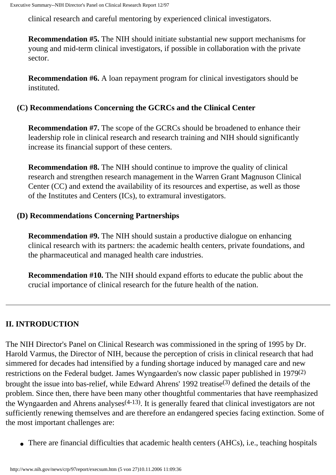clinical research and careful mentoring by experienced clinical investigators.

**Recommendation #5.** The NIH should initiate substantial new support mechanisms for young and mid-term clinical investigators, if possible in collaboration with the private sector.

**Recommendation #6.** A loan repayment program for clinical investigators should be instituted.

#### **(C) Recommendations Concerning the GCRCs and the Clinical Center**

**Recommendation #7.** The scope of the GCRCs should be broadened to enhance their leadership role in clinical research and research training and NIH should significantly increase its financial support of these centers.

**Recommendation #8.** The NIH should continue to improve the quality of clinical research and strengthen research management in the Warren Grant Magnuson Clinical Center (CC) and extend the availability of its resources and expertise, as well as those of the Institutes and Centers (ICs), to extramural investigators.

#### **(D) Recommendations Concerning Partnerships**

**Recommendation #9.** The NIH should sustain a productive dialogue on enhancing clinical research with its partners: the academic health centers, private foundations, and the pharmaceutical and managed health care industries.

**Recommendation #10.** The NIH should expand efforts to educate the public about the crucial importance of clinical research for the future health of the nation.

## **II. INTRODUCTION**

The NIH Director's Panel on Clinical Research was commissioned in the spring of 1995 by Dr. Harold Varmus, the Director of NIH, because the perception of crisis in clinical research that had simmered for decades had intensified by a funding shortage induced by managed care and new restrictions on the Federal budget. James Wyngaarden's now classic paper published in 1979(2) brought the issue into bas-relief, while Edward Ahrens' 1992 treatise(3) defined the details of the problem. Since then, there have been many other thoughtful commentaries that have reemphasized the Wyngaarden and Ahrens analyses<sup> $(4-13)$ </sup>. It is generally feared that clinical investigators are not sufficiently renewing themselves and are therefore an endangered species facing extinction. Some of the most important challenges are:

• There are financial difficulties that academic health centers (AHCs), i.e., teaching hospitals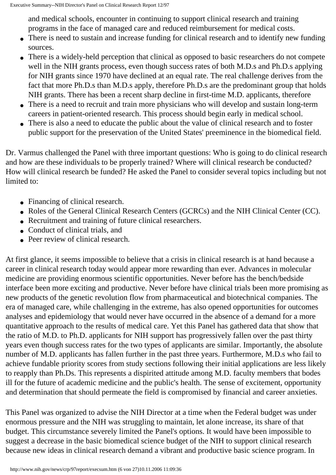and medical schools, encounter in continuing to support clinical research and training programs in the face of managed care and reduced reimbursement for medical costs.

- There is need to sustain and increase funding for clinical research and to identify new funding sources.
- There is a widely-held perception that clinical as opposed to basic researchers do not compete well in the NIH grants process, even though success rates of both M.D.s and Ph.D.s applying for NIH grants since 1970 have declined at an equal rate. The real challenge derives from the fact that more Ph.D.s than M.D.s apply, therefore Ph.D.s are the predominant group that holds NIH grants. There has been a recent sharp decline in first-time M.D. applicants, therefore
- There is a need to recruit and train more physicians who will develop and sustain long-term careers in patient-oriented research. This process should begin early in medical school.
- There is also a need to educate the public about the value of clinical research and to foster public support for the preservation of the United States' preeminence in the biomedical field.

Dr. Varmus challenged the Panel with three important questions: Who is going to do clinical research and how are these individuals to be properly trained? Where will clinical research be conducted? How will clinical research be funded? He asked the Panel to consider several topics including but not limited to:

- Financing of clinical research.
- Roles of the General Clinical Research Centers (GCRCs) and the NIH Clinical Center (CC).
- Recruitment and training of future clinical researchers.
- Conduct of clinical trials, and
- Peer review of clinical research.

At first glance, it seems impossible to believe that a crisis in clinical research is at hand because a career in clinical research today would appear more rewarding than ever. Advances in molecular medicine are providing enormous scientific opportunities. Never before has the bench/bedside interface been more exciting and productive. Never before have clinical trials been more promising as new products of the genetic revolution flow from pharmaceutical and biotechnical companies. The era of managed care, while challenging in the extreme, has also opened opportunities for outcomes analyses and epidemiology that would never have occurred in the absence of a demand for a more quantitative approach to the results of medical care. Yet this Panel has gathered data that show that the ratio of M.D. to Ph.D. applicants for NIH support has progressively fallen over the past thirty years even though success rates for the two types of applicants are similar. Importantly, the absolute number of M.D. applicants has fallen further in the past three years. Furthermore, M.D.s who fail to achieve fundable priority scores from study sections following their initial applications are less likely to reapply than Ph.Ds. This represents a dispirited attitude among M.D. faculty members that bodes ill for the future of academic medicine and the public's health. The sense of excitement, opportunity and determination that should permeate the field is compromised by financial and career anxieties.

This Panel was organized to advise the NIH Director at a time when the Federal budget was under enormous pressure and the NIH was struggling to maintain, let alone increase, its share of that budget. This circumstance severely limited the Panel's options. It would have been impossible to suggest a decrease in the basic biomedical science budget of the NIH to support clinical research because new ideas in clinical research demand a vibrant and productive basic science program. In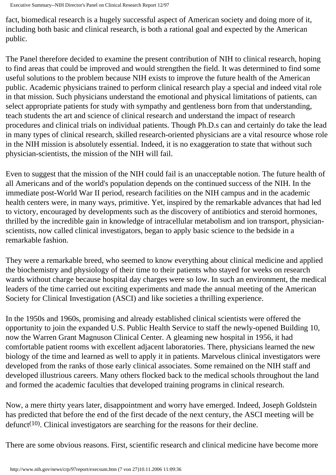fact, biomedical research is a hugely successful aspect of American society and doing more of it, including both basic and clinical research, is both a rational goal and expected by the American public.

The Panel therefore decided to examine the present contribution of NIH to clinical research, hoping to find areas that could be improved and would strengthen the field. It was determined to find some useful solutions to the problem because NIH exists to improve the future health of the American public. Academic physicians trained to perform clinical research play a special and indeed vital role in that mission. Such physicians understand the emotional and physical limitations of patients, can select appropriate patients for study with sympathy and gentleness born from that understanding, teach students the art and science of clinical research and understand the impact of research procedures and clinical trials on individual patients. Though Ph.D.s can and certainly do take the lead in many types of clinical research, skilled research-oriented physicians are a vital resource whose role in the NIH mission is absolutely essential. Indeed, it is no exaggeration to state that without such physician-scientists, the mission of the NIH will fail.

Even to suggest that the mission of the NIH could fail is an unacceptable notion. The future health of all Americans and of the world's population depends on the continued success of the NIH. In the immediate post-World War II period, research facilities on the NIH campus and in the academic health centers were, in many ways, primitive. Yet, inspired by the remarkable advances that had led to victory, encouraged by developments such as the discovery of antibiotics and steroid hormones, thrilled by the incredible gain in knowledge of intracellular metabolism and ion transport, physicianscientists, now called clinical investigators, began to apply basic science to the bedside in a remarkable fashion.

They were a remarkable breed, who seemed to know everything about clinical medicine and applied the biochemistry and physiology of their time to their patients who stayed for weeks on research wards without charge because hospital day charges were so low. In such an environment, the medical leaders of the time carried out exciting experiments and made the annual meeting of the American Society for Clinical Investigation (ASCI) and like societies a thrilling experience.

In the 1950s and 1960s, promising and already established clinical scientists were offered the opportunity to join the expanded U.S. Public Health Service to staff the newly-opened Building 10, now the Warren Grant Magnuson Clinical Center. A gleaming new hospital in 1956, it had comfortable patient rooms with excellent adjacent laboratories. There, physicians learned the new biology of the time and learned as well to apply it in patients. Marvelous clinical investigators were developed from the ranks of those early clinical associates. Some remained on the NIH staff and developed illustrious careers. Many others flocked back to the medical schools throughout the land and formed the academic faculties that developed training programs in clinical research.

Now, a mere thirty years later, disappointment and worry have emerged. Indeed, Joseph Goldstein has predicted that before the end of the first decade of the next century, the ASCI meeting will be defunct<sup> $(10)$ </sup>. Clinical investigators are searching for the reasons for their decline.

There are some obvious reasons. First, scientific research and clinical medicine have become more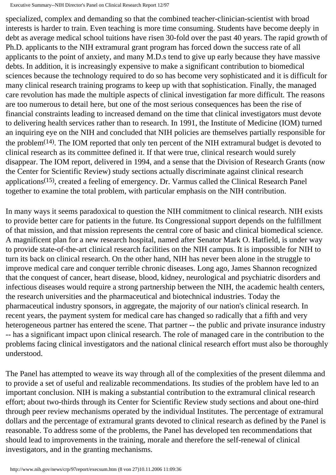specialized, complex and demanding so that the combined teacher-clinician-scientist with broad interests is harder to train. Even teaching is more time consuming. Students have become deeply in debt as average medical school tuitions have risen 30-fold over the past 40 years. The rapid growth of Ph.D. applicants to the NIH extramural grant program has forced down the success rate of all applicants to the point of anxiety, and many M.D.s tend to give up early because they have massive debts. In addition, it is increasingly expensive to make a significant contribution to biomedical sciences because the technology required to do so has become very sophisticated and it is difficult for many clinical research training programs to keep up with that sophistication. Finally, the managed care revolution has made the multiple aspects of clinical investigation far more difficult. The reasons are too numerous to detail here, but one of the most serious consequences has been the rise of financial constraints leading to increased demand on the time that clinical investigators must devote to delivering health services rather than to research. In 1991, the Institute of Medicine (IOM) turned an inquiring eye on the NIH and concluded that NIH policies are themselves partially responsible for the problem $(14)$ . The IOM reported that only ten percent of the NIH extramural budget is devoted to clinical research as its committee defined it. If that were true, clinical research would surely disappear. The IOM report, delivered in 1994, and a sense that the Division of Research Grants (now the Center for Scientific Review) study sections actually discriminate against clinical research applications<sup>(15)</sup>, created a feeling of emergency. Dr. Varmus called the Clinical Research Panel together to examine the total problem, with particular emphasis on the NIH contribution.

In many ways it seems paradoxical to question the NIH commitment to clinical research. NIH exists to provide better care for patients in the future. Its Congressional support depends on the fulfillment of that mission, and that mission represents the central core of basic and clinical biomedical science. A magnificent plan for a new research hospital, named after Senator Mark O. Hatfield, is under way to provide state-of-the-art clinical research facilities on the NIH campus. It is impossible for NIH to turn its back on clinical research. On the other hand, NIH has never been alone in the struggle to improve medical care and conquer terrible chronic diseases. Long ago, James Shannon recognized that the conquest of cancer, heart disease, blood, kidney, neurological and psychiatric disorders and infectious diseases would require a strong partnership between the NIH, the academic health centers, the research universities and the pharmaceutical and biotechnical industries. Today the pharmaceutical industry sponsors, in aggregate, the majority of our nation's clinical research. In recent years, the payment system for medical care has changed so radically that a fifth and very heterogeneous partner has entered the scene. That partner -- the public and private insurance industry -- has a significant impact upon clinical research. The role of managed care in the contribution to the problems facing clinical investigators and the national clinical research effort must also be thoroughly understood.

The Panel has attempted to weave its way through all of the complexities of the present dilemma and to provide a set of useful and realizable recommendations. Its studies of the problem have led to an important conclusion. NIH is making a substantial contribution to the extramural clinical research effort; about two-thirds through its Center for Scientific Review study sections and about one-third through peer review mechanisms operated by the individual Institutes. The percentage of extramural dollars and the percentage of extramural grants devoted to clinical research as defined by the Panel is reasonable. To address some of the problems, the Panel has developed ten recommendations that should lead to improvements in the training, morale and therefore the self-renewal of clinical investigators, and in the granting mechanisms.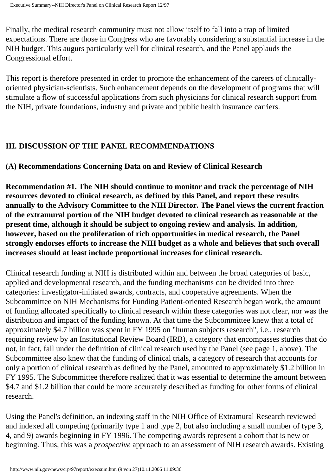Finally, the medical research community must not allow itself to fall into a trap of limited expectations. There are those in Congress who are favorably considering a substantial increase in the NIH budget. This augurs particularly well for clinical research, and the Panel applauds the Congressional effort.

This report is therefore presented in order to promote the enhancement of the careers of clinicallyoriented physician-scientists. Such enhancement depends on the development of programs that will stimulate a flow of successful applications from such physicians for clinical research support from the NIH, private foundations, industry and private and public health insurance carriers.

## **III. DISCUSSION OF THE PANEL RECOMMENDATIONS**

### **(A) Recommendations Concerning Data on and Review of Clinical Research**

**Recommendation #1. The NIH should continue to monitor and track the percentage of NIH resources devoted to clinical research, as defined by this Panel, and report these results annually to the Advisory Committee to the NIH Director. The Panel views the current fraction of the extramural portion of the NIH budget devoted to clinical research as reasonable at the present time, although it should be subject to ongoing review and analysis. In addition, however, based on the proliferation of rich opportunities in medical research, the Panel strongly endorses efforts to increase the NIH budget as a whole and believes that such overall increases should at least include proportional increases for clinical research.** 

Clinical research funding at NIH is distributed within and between the broad categories of basic, applied and developmental research, and the funding mechanisms can be divided into three categories: investigator-initiated awards, contracts, and cooperative agreements. When the Subcommittee on NIH Mechanisms for Funding Patient-oriented Research began work, the amount of funding allocated specifically to clinical research within these categories was not clear, nor was the distribution and impact of the funding known. At that time the Subcommittee knew that a total of approximately \$4.7 billion was spent in FY 1995 on "human subjects research", i.e., research requiring review by an Institutional Review Board (IRB), a category that encompasses studies that do not, in fact, fall under the definition of clinical research used by the Panel (see page 1, above). The Subcommittee also knew that the funding of clinical trials, a category of research that accounts for only a portion of clinical research as defined by the Panel, amounted to approximately \$1.2 billion in FY 1995. The Subcommittee therefore realized that it was essential to determine the amount between \$4.7 and \$1.2 billion that could be more accurately described as funding for other forms of clinical research.

Using the Panel's definition, an indexing staff in the NIH Office of Extramural Research reviewed and indexed all competing (primarily type 1 and type 2, but also including a small number of type 3, 4, and 9) awards beginning in FY 1996. The competing awards represent a cohort that is new or beginning. Thus, this was a *prospective* approach to an assessment of NIH research awards. Existing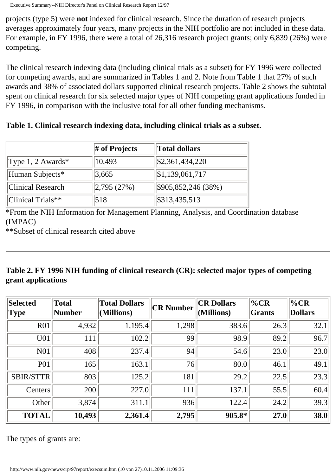projects (type 5) were **not** indexed for clinical research. Since the duration of research projects averages approximately four years, many projects in the NIH portfolio are not included in these data. For example, in FY 1996, there were a total of 26,316 research project grants; only 6,839 (26%) were competing.

The clinical research indexing data (including clinical trials as a subset) for FY 1996 were collected for competing awards, and are summarized in Tables 1 and 2. Note from Table 1 that 27% of such awards and 38% of associated dollars supported clinical research projects. Table 2 shows the subtotal spent on clinical research for six selected major types of NIH competing grant applications funded in FY 1996, in comparison with the inclusive total for all other funding mechanisms.

**Table 1. Clinical research indexing data, including clinical trials as a subset.** 

|                          | $\#$ of Projects               | <b>Total dollars</b>        |
|--------------------------|--------------------------------|-----------------------------|
| Type 1, 2 Awards*        | 10,493                         | $\frac{$2,361,434,220}{}$   |
| Human Subjects*          | 3,665                          | $\vert 1,139,061,717 \vert$ |
| <b>Clinical Research</b> | $\left  2,795\, (27\% \right)$ | \$905,852,246(38%)          |
| $ Clinical **$           | 518                            | \$313,435,513               |

\*From the NIH Information for Management Planning, Analysis, and Coordination database (IMPAC)

\*\*Subset of clinical research cited above

## **Table 2. FY 1996 NIH funding of clinical research (CR): selected major types of competing grant applications**

| Selected<br>$ {\rm Type}$ | Total<br>Number | <b>Total Dollars</b><br>(Millions) | <b>CR Number</b> | <b>CR Dollars</b><br>$\vert$ (Millions) | $\%CR$<br>Grants | $\%CR$<br><b>Dollars</b> |
|---------------------------|-----------------|------------------------------------|------------------|-----------------------------------------|------------------|--------------------------|
| <b>R01</b>                | 4,932           | 1,195.4                            | 1,298            | 383.6                                   | 26.3             | 32.1                     |
| U01                       | 111             | 102.2                              | 99               | 98.9                                    | 89.2             | 96.7                     |
| N01                       | 408             | 237.4                              | 94               | 54.6                                    | 23.0             | 23.0                     |
| <b>P01</b>                | 165             | 163.1                              | 76               | 80.0                                    | 46.1             | 49.1                     |
| <b>SBIR/STTR</b>          | 803             | 125.2                              | 181              | 29.2                                    | 22.5             | 23.3                     |
| Centers                   | 200             | 227.0                              | 111              | 137.1                                   | 55.5             | 60.4                     |
| Other                     | 3,874           | 311.1                              | 936              | 122.4                                   | 24.2             | 39.3                     |
| <b>TOTAL</b>              | 10,493          | 2,361.4                            | 2,795            | 905.8*                                  | 27.0             | 38.0                     |

The types of grants are: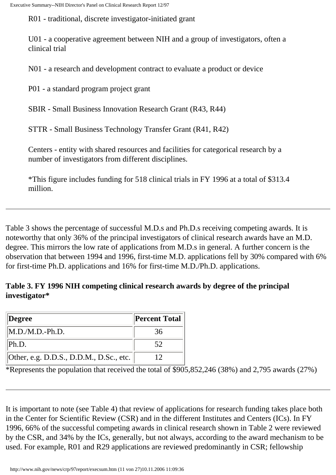R01 - traditional, discrete investigator-initiated grant

U01 - a cooperative agreement between NIH and a group of investigators, often a clinical trial

N01 - a research and development contract to evaluate a product or device

P01 - a standard program project grant

SBIR - Small Business Innovation Research Grant (R43, R44)

STTR - Small Business Technology Transfer Grant (R41, R42)

Centers - entity with shared resources and facilities for categorical research by a number of investigators from different disciplines.

\*This figure includes funding for 518 clinical trials in FY 1996 at a total of \$313.4 million.

Table 3 shows the percentage of successful M.D.s and Ph.D.s receiving competing awards. It is noteworthy that only 36% of the principal investigators of clinical research awards have an M.D. degree. This mirrors the low rate of applications from M.D.s in general. A further concern is the observation that between 1994 and 1996, first-time M.D. applications fell by 30% compared with 6% for first-time Ph.D. applications and 16% for first-time M.D./Ph.D. applications.

#### **Table 3. FY 1996 NIH competing clinical research awards by degree of the principal investigator\***

| Degree                                          | <b>Percent Total</b> |
|-------------------------------------------------|----------------------|
| $M.D.M.D.-Ph.D.$                                | 36                   |
| Ph.D.                                           | 52                   |
| $\vert$ Other, e.g. D.D.S., D.D.M., D.Sc., etc. |                      |

\*Represents the population that received the total of \$905,852,246 (38%) and 2,795 awards (27%)

It is important to note (see Table 4) that review of applications for research funding takes place both in the Center for Scientific Review (CSR) and in the different Institutes and Centers (ICs). In FY 1996, 66% of the successful competing awards in clinical research shown in Table 2 were reviewed by the CSR, and 34% by the ICs, generally, but not always, according to the award mechanism to be used. For example, R01 and R29 applications are reviewed predominantly in CSR; fellowship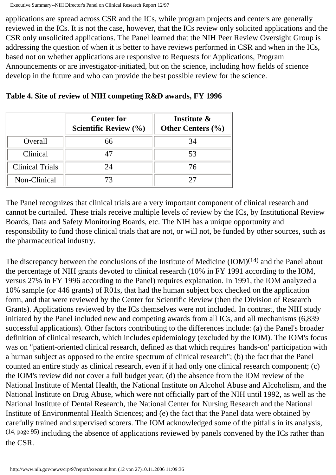applications are spread across CSR and the ICs, while program projects and centers are generally reviewed in the ICs. It is not the case, however, that the ICs review only solicited applications and the CSR only unsolicited applications. The Panel learned that the NIH Peer Review Oversight Group is addressing the question of when it is better to have reviews performed in CSR and when in the ICs, based not on whether applications are responsive to Requests for Applications, Program Announcements or are investigator-initiated, but on the science, including how fields of science develop in the future and who can provide the best possible review for the science.

|                        | <b>Center for</b><br>Scientific Review $(\% )$ | Institute &<br>Other Centers $(\% )$ |
|------------------------|------------------------------------------------|--------------------------------------|
| Overall                | 66                                             | 34                                   |
| Clinical               | 47                                             | 53                                   |
| <b>Clinical Trials</b> | 24                                             | 76                                   |
| Non-Clinical           | 73                                             |                                      |

**Table 4. Site of review of NIH competing R&D awards, FY 1996** 

The Panel recognizes that clinical trials are a very important component of clinical research and cannot be curtailed. These trials receive multiple levels of review by the ICs, by Institutional Review Boards, Data and Safety Monitoring Boards, etc. The NIH has a unique opportunity and responsibility to fund those clinical trials that are not, or will not, be funded by other sources, such as the pharmaceutical industry.

The discrepancy between the conclusions of the Institute of Medicine (IOM)<sup>(14)</sup> and the Panel about the percentage of NIH grants devoted to clinical research (10% in FY 1991 according to the IOM, versus 27% in FY 1996 according to the Panel) requires explanation. In 1991, the IOM analyzed a 10% sample (or 446 grants) of R01s, that had the human subject box checked on the application form, and that were reviewed by the Center for Scientific Review (then the Division of Research Grants). Applications reviewed by the ICs themselves were not included. In contrast, the NIH study initiated by the Panel included new and competing awards from all ICs, and all mechanisms (6,839 successful applications). Other factors contributing to the differences include: (a) the Panel's broader definition of clinical research, which includes epidemiology (excluded by the IOM). The IOM's focus was on "patient-oriented clinical research, defined as that which requires 'hands-on' participation with a human subject as opposed to the entire spectrum of clinical research"; (b) the fact that the Panel counted an entire study as clinical research, even if it had only one clinical research component; (c) the IOM's review did not cover a full budget year; (d) the absence from the IOM review of the National Institute of Mental Health, the National Institute on Alcohol Abuse and Alcoholism, and the National Institute on Drug Abuse, which were not officially part of the NIH until 1992, as well as the National Institute of Dental Research, the National Center for Nursing Research and the National Institute of Environmental Health Sciences; and (e) the fact that the Panel data were obtained by carefully trained and supervised scorers. The IOM acknowledged some of the pitfalls in its analysis, (14, page 95) including the absence of applications reviewed by panels convened by the ICs rather than the CSR.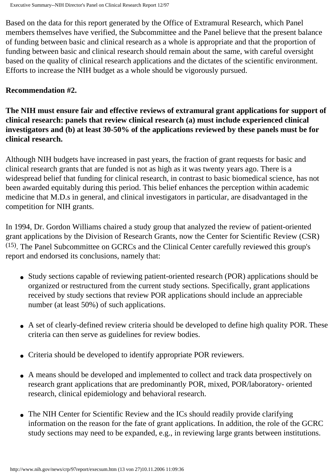Based on the data for this report generated by the Office of Extramural Research, which Panel members themselves have verified, the Subcommittee and the Panel believe that the present balance of funding between basic and clinical research as a whole is appropriate and that the proportion of funding between basic and clinical research should remain about the same, with careful oversight based on the quality of clinical research applications and the dictates of the scientific environment. Efforts to increase the NIH budget as a whole should be vigorously pursued.

#### **Recommendation #2.**

**The NIH must ensure fair and effective reviews of extramural grant applications for support of clinical research: panels that review clinical research (a) must include experienced clinical investigators and (b) at least 30-50% of the applications reviewed by these panels must be for clinical research.** 

Although NIH budgets have increased in past years, the fraction of grant requests for basic and clinical research grants that are funded is not as high as it was twenty years ago. There is a widespread belief that funding for clinical research, in contrast to basic biomedical science, has not been awarded equitably during this period. This belief enhances the perception within academic medicine that M.D.s in general, and clinical investigators in particular, are disadvantaged in the competition for NIH grants.

In 1994, Dr. Gordon Williams chaired a study group that analyzed the review of patient-oriented grant applications by the Division of Research Grants, now the Center for Scientific Review (CSR) (15). The Panel Subcommittee on GCRCs and the Clinical Center carefully reviewed this group's report and endorsed its conclusions, namely that:

- Study sections capable of reviewing patient-oriented research (POR) applications should be organized or restructured from the current study sections. Specifically, grant applications received by study sections that review POR applications should include an appreciable number (at least 50%) of such applications.
- A set of clearly-defined review criteria should be developed to define high quality POR. These criteria can then serve as guidelines for review bodies.
- ● Criteria should be developed to identify appropriate POR reviewers.
- A means should be developed and implemented to collect and track data prospectively on research grant applications that are predominantly POR, mixed, POR/laboratory- oriented research, clinical epidemiology and behavioral research.
- The NIH Center for Scientific Review and the ICs should readily provide clarifying information on the reason for the fate of grant applications. In addition, the role of the GCRC study sections may need to be expanded, e.g., in reviewing large grants between institutions.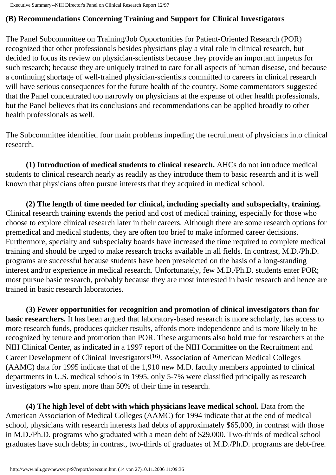## **(B) Recommendations Concerning Training and Support for Clinical Investigators**

The Panel Subcommittee on Training/Job Opportunities for Patient-Oriented Research (POR) recognized that other professionals besides physicians play a vital role in clinical research, but decided to focus its review on physician-scientists because they provide an important impetus for such research; because they are uniquely trained to care for all aspects of human disease, and because a continuing shortage of well-trained physician-scientists committed to careers in clinical research will have serious consequences for the future health of the country. Some commentators suggested that the Panel concentrated too narrowly on physicians at the expense of other health professionals, but the Panel believes that its conclusions and recommendations can be applied broadly to other health professionals as well.

The Subcommittee identified four main problems impeding the recruitment of physicians into clinical research.

**(1) Introduction of medical students to clinical research.** AHCs do not introduce medical students to clinical research nearly as readily as they introduce them to basic research and it is well known that physicians often pursue interests that they acquired in medical school.

**(2) The length of time needed for clinical, including specialty and subspecialty, training.**  Clinical research training extends the period and cost of medical training, especially for those who choose to explore clinical research later in their careers. Although there are some research options for premedical and medical students, they are often too brief to make informed career decisions. Furthermore, specialty and subspecialty boards have increased the time required to complete medical training and should be urged to make research tracks available in all fields. In contrast, M.D./Ph.D. programs are successful because students have been preselected on the basis of a long-standing interest and/or experience in medical research. Unfortunately, few M.D./Ph.D. students enter POR; most pursue basic research, probably because they are most interested in basic research and hence are trained in basic research laboratories.

**(3) Fewer opportunities for recognition and promotion of clinical investigators than for basic researchers.** It has been argued that laboratory-based research is more scholarly, has access to more research funds, produces quicker results, affords more independence and is more likely to be recognized by tenure and promotion than POR. These arguments also hold true for researchers at the NIH Clinical Center, as indicated in a 1997 report of the NIH Committee on the Recruitment and Career Development of Clinical Investigators(16). Association of American Medical Colleges (AAMC) data for 1995 indicate that of the 1,910 new M.D. faculty members appointed to clinical departments in U.S. medical schools in 1995, only 5-7% were classified principally as research investigators who spent more than 50% of their time in research.

**(4) The high level of debt with which physicians leave medical school.** Data from the American Association of Medical Colleges (AAMC) for 1994 indicate that at the end of medical school, physicians with research interests had debts of approximately \$65,000, in contrast with those in M.D./Ph.D. programs who graduated with a mean debt of \$29,000. Two-thirds of medical school graduates have such debts; in contrast, two-thirds of graduates of M.D./Ph.D. programs are debt-free.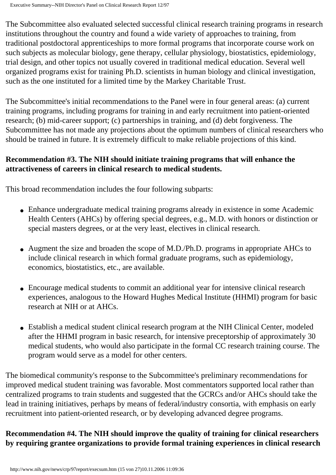The Subcommittee also evaluated selected successful clinical research training programs in research institutions throughout the country and found a wide variety of approaches to training, from traditional postdoctoral apprenticeships to more formal programs that incorporate course work on such subjects as molecular biology, gene therapy, cellular physiology, biostatistics, epidemiology, trial design, and other topics not usually covered in traditional medical education. Several well organized programs exist for training Ph.D. scientists in human biology and clinical investigation, such as the one instituted for a limited time by the Markey Charitable Trust.

The Subcommittee's initial recommendations to the Panel were in four general areas: (a) current training programs, including programs for training in and early recruitment into patient-oriented research; (b) mid-career support; (c) partnerships in training, and (d) debt forgiveness. The Subcommittee has not made any projections about the optimum numbers of clinical researchers who should be trained in future. It is extremely difficult to make reliable projections of this kind.

### **Recommendation #3. The NIH should initiate training programs that will enhance the attractiveness of careers in clinical research to medical students.**

This broad recommendation includes the four following subparts:

- Enhance undergraduate medical training programs already in existence in some Academic Health Centers (AHCs) by offering special degrees, e.g., M.D. with honors or distinction or special masters degrees, or at the very least, electives in clinical research.
- Augment the size and broaden the scope of M.D./Ph.D. programs in appropriate AHCs to include clinical research in which formal graduate programs, such as epidemiology, economics, biostatistics, etc., are available.
- Encourage medical students to commit an additional year for intensive clinical research experiences, analogous to the Howard Hughes Medical Institute (HHMI) program for basic research at NIH or at AHCs.
- Establish a medical student clinical research program at the NIH Clinical Center, modeled after the HHMI program in basic research, for intensive preceptorship of approximately 30 medical students, who would also participate in the formal CC research training course. The program would serve as a model for other centers.

The biomedical community's response to the Subcommittee's preliminary recommendations for improved medical student training was favorable. Most commentators supported local rather than centralized programs to train students and suggested that the GCRCs and/or AHCs should take the lead in training initiatives, perhaps by means of federal/industry consortia, with emphasis on early recruitment into patient-oriented research, or by developing advanced degree programs.

## **Recommendation #4. The NIH should improve the quality of training for clinical researchers by requiring grantee organizations to provide formal training experiences in clinical research**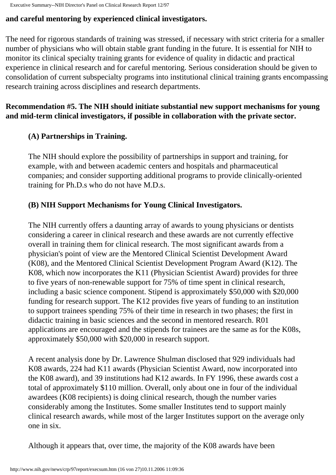### **and careful mentoring by experienced clinical investigators.**

The need for rigorous standards of training was stressed, if necessary with strict criteria for a smaller number of physicians who will obtain stable grant funding in the future. It is essential for NIH to monitor its clinical specialty training grants for evidence of quality in didactic and practical experience in clinical research and for careful mentoring. Serious consideration should be given to consolidation of current subspecialty programs into institutional clinical training grants encompassing research training across disciplines and research departments.

### **Recommendation #5. The NIH should initiate substantial new support mechanisms for young and mid-term clinical investigators, if possible in collaboration with the private sector.**

### **(A) Partnerships in Training.**

The NIH should explore the possibility of partnerships in support and training, for example, with and between academic centers and hospitals and pharmaceutical companies; and consider supporting additional programs to provide clinically-oriented training for Ph.D.s who do not have M.D.s.

### **(B) NIH Support Mechanisms for Young Clinical Investigators.**

The NIH currently offers a daunting array of awards to young physicians or dentists considering a career in clinical research and these awards are not currently effective overall in training them for clinical research. The most significant awards from a physician's point of view are the Mentored Clinical Scientist Development Award (K08), and the Mentored Clinical Scientist Development Program Award (K12). The K08, which now incorporates the K11 (Physician Scientist Award) provides for three to five years of non-renewable support for 75% of time spent in clinical research, including a basic science component. Stipend is approximately \$50,000 with \$20,000 funding for research support. The K12 provides five years of funding to an institution to support trainees spending 75% of their time in research in two phases; the first in didactic training in basic sciences and the second in mentored research. R01 applications are encouraged and the stipends for trainees are the same as for the K08s, approximately \$50,000 with \$20,000 in research support.

A recent analysis done by Dr. Lawrence Shulman disclosed that 929 individuals had K08 awards, 224 had K11 awards (Physician Scientist Award, now incorporated into the K08 award), and 39 institutions had K12 awards. In FY 1996, these awards cost a total of approximately \$110 million. Overall, only about one in four of the individual awardees (K08 recipients) is doing clinical research, though the number varies considerably among the Institutes. Some smaller Institutes tend to support mainly clinical research awards, while most of the larger Institutes support on the average only one in six.

Although it appears that, over time, the majority of the K08 awards have been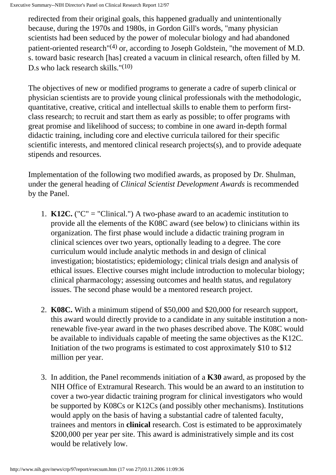redirected from their original goals, this happened gradually and unintentionally because, during the 1970s and 1980s, in Gordon Gill's words, "many physician scientists had been seduced by the power of molecular biology and had abandoned patient-oriented research"(4) or, according to Joseph Goldstein, "the movement of M.D. s. toward basic research [has] created a vacuum in clinical research, often filled by M. D.s who lack research skills."<sup>(10)</sup>

The objectives of new or modified programs to generate a cadre of superb clinical or physician scientists are to provide young clinical professionals with the methodologic, quantitative, creative, critical and intellectual skills to enable them to perform firstclass research; to recruit and start them as early as possible; to offer programs with great promise and likelihood of success; to combine in one award in-depth formal didactic training, including core and elective curricula tailored for their specific scientific interests, and mentored clinical research projects(s), and to provide adequate stipends and resources.

Implementation of the following two modified awards, as proposed by Dr. Shulman, under the general heading of *Clinical Scientist Development Awards* is recommended by the Panel.

- 1.  $K12C$ . ("C" = "Clinical.") A two-phase award to an academic institution to provide all the elements of the K08C award (see below) to clinicians within its organization. The first phase would include a didactic training program in clinical sciences over two years, optionally leading to a degree. The core curriculum would include analytic methods in and design of clinical investigation; biostatistics; epidemiology; clinical trials design and analysis of ethical issues. Elective courses might include introduction to molecular biology; clinical pharmacology; assessing outcomes and health status, and regulatory issues. The second phase would be a mentored research project.
- 2. **K08C.** With a minimum stipend of \$50,000 and \$20,000 for research support, this award would directly provide to a candidate in any suitable institution a nonrenewable five-year award in the two phases described above. The K08C would be available to individuals capable of meeting the same objectives as the K12C. Initiation of the two programs is estimated to cost approximately \$10 to \$12 million per year.
- 3. In addition, the Panel recommends initiation of a **K30** award, as proposed by the NIH Office of Extramural Research. This would be an award to an institution to cover a two-year didactic training program for clinical investigators who would be supported by K08Cs or K12Cs (and possibly other mechanisms). Institutions would apply on the basis of having a substantial cadre of talented faculty, trainees and mentors in **clinical** research. Cost is estimated to be approximately \$200,000 per year per site. This award is administratively simple and its cost would be relatively low.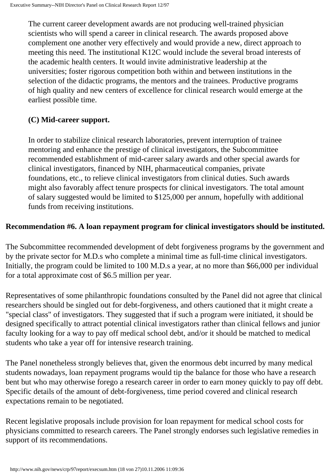The current career development awards are not producing well-trained physician scientists who will spend a career in clinical research. The awards proposed above complement one another very effectively and would provide a new, direct approach to meeting this need. The institutional K12C would include the several broad interests of the academic health centers. It would invite administrative leadership at the universities; foster rigorous competition both within and between institutions in the selection of the didactic programs, the mentors and the trainees. Productive programs of high quality and new centers of excellence for clinical research would emerge at the earliest possible time.

## **(C) Mid-career support.**

In order to stabilize clinical research laboratories, prevent interruption of trainee mentoring and enhance the prestige of clinical investigators, the Subcommittee recommended establishment of mid-career salary awards and other special awards for clinical investigators, financed by NIH, pharmaceutical companies, private foundations, etc., to relieve clinical investigators from clinical duties. Such awards might also favorably affect tenure prospects for clinical investigators. The total amount of salary suggested would be limited to \$125,000 per annum, hopefully with additional funds from receiving institutions.

### **Recommendation #6. A loan repayment program for clinical investigators should be instituted.**

The Subcommittee recommended development of debt forgiveness programs by the government and by the private sector for M.D.s who complete a minimal time as full-time clinical investigators. Initially, the program could be limited to 100 M.D.s a year, at no more than \$66,000 per individual for a total approximate cost of \$6.5 million per year.

Representatives of some philanthropic foundations consulted by the Panel did not agree that clinical researchers should be singled out for debt-forgiveness, and others cautioned that it might create a "special class" of investigators. They suggested that if such a program were initiated, it should be designed specifically to attract potential clinical investigators rather than clinical fellows and junior faculty looking for a way to pay off medical school debt, and/or it should be matched to medical students who take a year off for intensive research training.

The Panel nonetheless strongly believes that, given the enormous debt incurred by many medical students nowadays, loan repayment programs would tip the balance for those who have a research bent but who may otherwise forego a research career in order to earn money quickly to pay off debt. Specific details of the amount of debt-forgiveness, time period covered and clinical research expectations remain to be negotiated.

Recent legislative proposals include provision for loan repayment for medical school costs for physicians committed to research careers. The Panel strongly endorses such legislative remedies in support of its recommendations.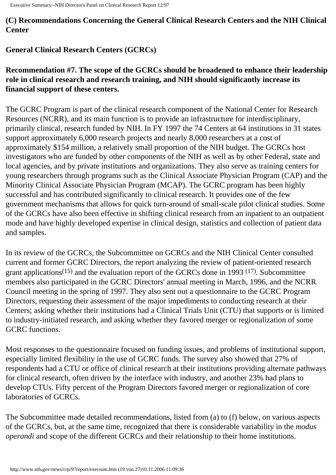**(C) Recommendations Concerning the General Clinical Research Centers and the NIH Clinical Center** 

## **General Clinical Research Centers (GCRCs)**

### **Recommendation #7. The scope of the GCRCs should be broadened to enhance their leadership role in clinical research and research training, and NIH should significantly increase its financial support of these centers.**

The GCRC Program is part of the clinical research component of the National Center for Research Resources (NCRR), and its main function is to provide an infrastructure for interdisciplinary, primarily clinical, research funded by NIH. In FY 1997 the 74 Centers at 64 institutions in 31 states support approximately 6,000 research projects and nearly 8,000 researchers at a cost of approximately \$154 million, a relatively small proportion of the NIH budget. The GCRCs host investigators who are funded by other components of the NIH as well as by other Federal, state and local agencies, and by private institutions and organizations. They also serve as training centers for young researchers through programs such as the Clinical Associate Physician Program (CAP) and the Minority Clinical Associate Physician Program (MCAP). The GCRC program has been highly successful and has contributed significantly to clinical research. It provides one of the few government mechanisms that allows for quick turn-around of small-scale pilot clinical studies. Some of the GCRCs have also been effective in shifting clinical research from an inpatient to an outpatient mode and have highly developed expertise in clinical design, statistics and collection of patient data and samples.

In its review of the GCRCs, the Subcommittee on GCRCs and the NIH Clinical Center consulted current and former GCRC Directors, the report analyzing the review of patient-oriented research grant applications<sup> $(15)$ </sup> and the evaluation report of the GCRCs done in 1993  $(17)$ . Subcommittee members also participated in the GCRC Directors' annual meeting in March, 1996, and the NCRR Council meeting in the spring of 1997. They also sent out a questionnaire to the GCRC Program Directors, requesting their assessment of the major impediments to conducting research at their Centers; asking whether their institutions had a Clinical Trials Unit (CTU) that supports or is limited to industry-initiated research, and asking whether they favored merger or regionalization of some GCRC functions.

Most responses to the questionnaire focused on funding issues, and problems of institutional support, especially limited flexibility in the use of GCRC funds. The survey also showed that 27% of respondents had a CTU or office of clinical research at their institutions providing alternate pathways for clinical research, often driven by the interface with industry, and another 23% had plans to develop CTUs. Fifty percent of the Program Directors favored merger or regionalization of core laboratories of GCRCs.

The Subcommittee made detailed recommendations, listed from (a) to (f) below, on various aspects of the GCRCs, but, at the same time, recognized that there is considerable variability in the *modus operandi* and scope of the different GCRCs and their relationship to their home institutions.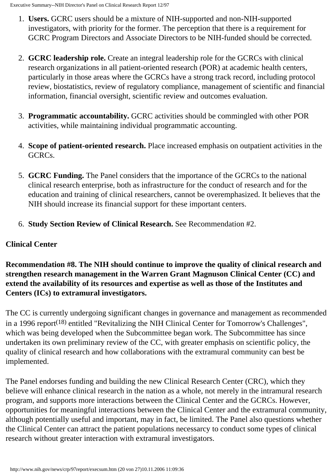- 1. **Users.** GCRC users should be a mixture of NIH-supported and non-NIH-supported investigators, with priority for the former. The perception that there is a requirement for GCRC Program Directors and Associate Directors to be NIH-funded should be corrected.
- 2. **GCRC leadership role.** Create an integral leadership role for the GCRCs with clinical research organizations in all patient-oriented research (POR) at academic health centers, particularly in those areas where the GCRCs have a strong track record, including protocol review, biostatistics, review of regulatory compliance, management of scientific and financial information, financial oversight, scientific review and outcomes evaluation.
- 3. **Programmatic accountability.** GCRC activities should be commingled with other POR activities, while maintaining individual programmatic accounting.
- 4. **Scope of patient-oriented research.** Place increased emphasis on outpatient activities in the GCRCs.
- 5. **GCRC Funding.** The Panel considers that the importance of the GCRCs to the national clinical research enterprise, both as infrastructure for the conduct of research and for the education and training of clinical researchers, cannot be overemphasized. It believes that the NIH should increase its financial support for these important centers.
- 6. **Study Section Review of Clinical Research.** See Recommendation #2.

# **Clinical Center**

**Recommendation #8. The NIH should continue to improve the quality of clinical research and strengthen research management in the Warren Grant Magnuson Clinical Center (CC) and extend the availability of its resources and expertise as well as those of the Institutes and Centers (ICs) to extramural investigators.** 

The CC is currently undergoing significant changes in governance and management as recommended in a 1996 report<sup> $(18)$ </sup> entitled "Revitalizing the NIH Clinical Center for Tomorrow's Challenges", which was being developed when the Subcommittee began work. The Subcommittee has since undertaken its own preliminary review of the CC, with greater emphasis on scientific policy, the quality of clinical research and how collaborations with the extramural community can best be implemented.

The Panel endorses funding and building the new Clinical Research Center (CRC), which they believe will enhance clinical research in the nation as a whole, not merely in the intramural research program, and supports more interactions between the Clinical Center and the GCRCs. However, opportunities for meaningful interactions between the Clinical Center and the extramural community, although potentially useful and important, may in fact, be limited. The Panel also questions whether the Clinical Center can attract the patient populations necessarcy to conduct some types of clinical research without greater interaction with extramural investigators.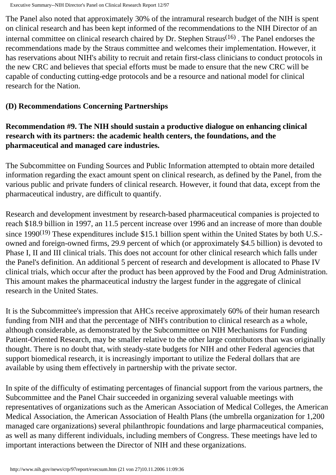The Panel also noted that approximately 30% of the intramural research budget of the NIH is spent on clinical research and has been kept informed of the recommendations to the NIH Director of an internal committee on clinical research chaired by Dr. Stephen Straus<sup> $(16)$ </sup>. The Panel endorses the recommendations made by the Straus committee and welcomes their implementation. However, it has reservations about NIH's ability to recruit and retain first-class clinicians to conduct protocols in the new CRC and believes that special efforts must be made to ensure that the new CRC will be capable of conducting cutting-edge protocols and be a resource and national model for clinical research for the Nation.

#### **(D) Recommendations Concerning Partnerships**

#### **Recommendation #9. The NIH should sustain a productive dialogue on enhancing clinical research with its partners: the academic health centers, the foundations, and the pharmaceutical and managed care industries.**

The Subcommittee on Funding Sources and Public Information attempted to obtain more detailed information regarding the exact amount spent on clinical research, as defined by the Panel, from the various public and private funders of clinical research. However, it found that data, except from the pharmaceutical industry, are difficult to quantify.

Research and development investment by research-based pharmaceutical companies is projected to reach \$18.9 billion in 1997, an 11.5 percent increase over 1996 and an increase of more than double since 1990<sup>(19)</sup> These expenditures include \$15.1 billion spent within the United States by both U.S.owned and foreign-owned firms, 29.9 percent of which (or approximately \$4.5 billion) is devoted to Phase I, II and III clinical trials. This does not account for other clinical research which falls under the Panel's definition. An additional 5 percent of research and development is allocated to Phase IV clinical trials, which occur after the product has been approved by the Food and Drug Administration. This amount makes the pharmaceutical industry the largest funder in the aggregate of clinical research in the United States.

It is the Subcommittee's impression that AHCs receive approximately 60% of their human research funding from NIH and that the percentage of NIH's contribution to clinical research as a whole, although considerable, as demonstrated by the Subcommittee on NIH Mechanisms for Funding Patient-Oriented Research, may be smaller relative to the other large contributors than was originally thought. There is no doubt that, with steady-state budgets for NIH and other Federal agencies that support biomedical research, it is increasingly important to utilize the Federal dollars that are available by using them effectively in partnership with the private sector.

In spite of the difficulty of estimating percentages of financial support from the various partners, the Subcommittee and the Panel Chair succeeded in organizing several valuable meetings with representatives of organizations such as the American Association of Medical Colleges, the American Medical Association, the American Association of Health Plans (the umbrella organization for 1,200 managed care organizations) several philanthropic foundations and large pharmaceutical companies, as well as many different individuals, including members of Congress. These meetings have led to important interactions between the Director of NIH and these organizations.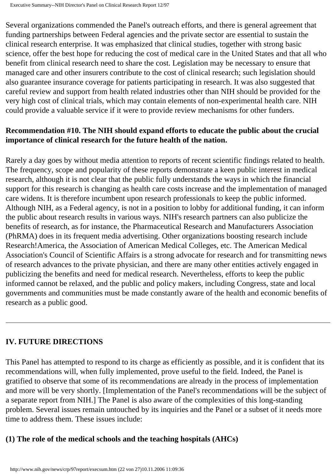Several organizations commended the Panel's outreach efforts, and there is general agreement that funding partnerships between Federal agencies and the private sector are essential to sustain the clinical research enterprise. It was emphasized that clinical studies, together with strong basic science, offer the best hope for reducing the cost of medical care in the United States and that all who benefit from clinical research need to share the cost. Legislation may be necessary to ensure that managed care and other insurers contribute to the cost of clinical research; such legislation should also guarantee insurance coverage for patients participating in research. It was also suggested that careful review and support from health related industries other than NIH should be provided for the very high cost of clinical trials, which may contain elements of non-experimental health care. NIH could provide a valuable service if it were to provide review mechanisms for other funders.

#### **Recommendation #10. The NIH should expand efforts to educate the public about the crucial importance of clinical research for the future health of the nation.**

Rarely a day goes by without media attention to reports of recent scientific findings related to health. The frequency, scope and popularity of these reports demonstrate a keen public interest in medical research, although it is not clear that the public fully understands the ways in which the financial support for this research is changing as health care costs increase and the implementation of managed care widens. It is therefore incumbent upon research professionals to keep the public informed. Although NIH, as a Federal agency, is not in a position to lobby for additional funding, it can inform the public about research results in various ways. NIH's research partners can also publicize the benefits of research, as for instance, the Pharmaceutical Research and Manufacturers Association (PhRMA) does in its frequent media advertising. Other organizations boosting research include Research!America, the Association of American Medical Colleges, etc. The American Medical Association's Council of Scientific Affairs is a strong advocate for research and for transmitting news of research advances to the private physician, and there are many other entities actively engaged in publicizing the benefits and need for medical research. Nevertheless, efforts to keep the public informed cannot be relaxed, and the public and policy makers, including Congress, state and local governments and communities must be made constantly aware of the health and economic benefits of research as a public good.

## **IV. FUTURE DIRECTIONS**

This Panel has attempted to respond to its charge as efficiently as possible, and it is confident that its recommendations will, when fully implemented, prove useful to the field. Indeed, the Panel is gratified to observe that some of its recommendations are already in the process of implementation and more will be very shortly. [Implementation of the Panel's recommendations will be the subject of a separate report from NIH.] The Panel is also aware of the complexities of this long-standing problem. Several issues remain untouched by its inquiries and the Panel or a subset of it needs more time to address them. These issues include:

#### **(1) The role of the medical schools and the teaching hospitals (AHCs)**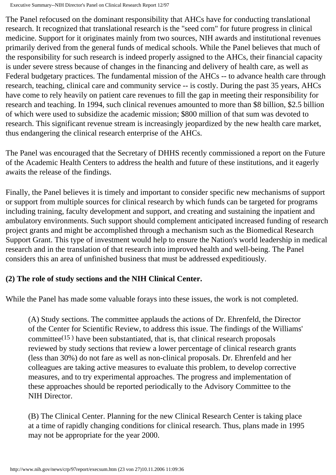The Panel refocused on the dominant responsibility that AHCs have for conducting translational research. It recognized that translational research is the "seed corn" for future progress in clinical medicine. Support for it originates mainly from two sources, NIH awards and institutional revenues primarily derived from the general funds of medical schools. While the Panel believes that much of the responsibility for such research is indeed properly assigned to the AHCs, their financial capacity is under severe stress because of changes in the financing and delivery of health care, as well as Federal budgetary practices. The fundamental mission of the AHCs -- to advance health care through research, teaching, clinical care and community service -- is costly. During the past 35 years, AHCs have come to rely heavily on patient care revenues to fill the gap in meeting their responsibility for research and teaching. In 1994, such clinical revenues amounted to more than \$8 billion, \$2.5 billion of which were used to subsidize the academic mission; \$800 million of that sum was devoted to research. This significant revenue stream is increasingly jeopardized by the new health care market, thus endangering the clinical research enterprise of the AHCs.

The Panel was encouraged that the Secretary of DHHS recently commissioned a report on the Future of the Academic Health Centers to address the health and future of these institutions, and it eagerly awaits the release of the findings.

Finally, the Panel believes it is timely and important to consider specific new mechanisms of support or support from multiple sources for clinical research by which funds can be targeted for programs including training, faculty development and support, and creating and sustaining the inpatient and ambulatory environments. Such support should complement anticipated increased funding of research project grants and might be accomplished through a mechanism such as the Biomedical Research Support Grant. This type of investment would help to ensure the Nation's world leadership in medical research and in the translation of that research into improved health and well-being. The Panel considers this an area of unfinished business that must be addressed expeditiously.

## **(2) The role of study sections and the NIH Clinical Center.**

While the Panel has made some valuable forays into these issues, the work is not completed.

(A) Study sections. The committee applauds the actions of Dr. Ehrenfeld, the Director of the Center for Scientific Review, to address this issue. The findings of the Williams' committee $(15)$  have been substantiated, that is, that clinical research proposals reviewed by study sections that review a lower percentage of clinical research grants (less than 30%) do not fare as well as non-clinical proposals. Dr. Ehrenfeld and her colleagues are taking active measures to evaluate this problem, to develop corrective measures, and to try experimental approaches. The progress and implementation of these approaches should be reported periodically to the Advisory Committee to the NIH Director.

(B) The Clinical Center. Planning for the new Clinical Research Center is taking place at a time of rapidly changing conditions for clinical research. Thus, plans made in 1995 may not be appropriate for the year 2000.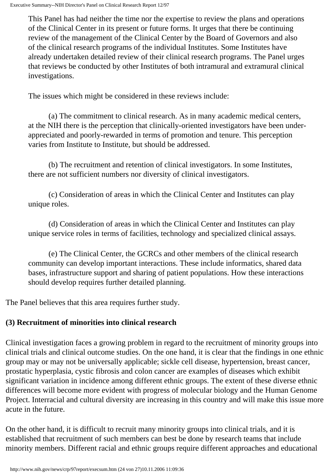This Panel has had neither the time nor the expertise to review the plans and operations of the Clinical Center in its present or future forms. It urges that there be continuing review of the management of the Clinical Center by the Board of Governors and also of the clinical research programs of the individual Institutes. Some Institutes have already undertaken detailed review of their clinical research programs. The Panel urges that reviews be conducted by other Institutes of both intramural and extramural clinical investigations.

The issues which might be considered in these reviews include:

(a) The commitment to clinical research. As in many academic medical centers, at the NIH there is the perception that clinically-oriented investigators have been underappreciated and poorly-rewarded in terms of promotion and tenure. This perception varies from Institute to Institute, but should be addressed.

(b) The recruitment and retention of clinical investigators. In some Institutes, there are not sufficient numbers nor diversity of clinical investigators.

(c) Consideration of areas in which the Clinical Center and Institutes can play unique roles.

(d) Consideration of areas in which the Clinical Center and Institutes can play unique service roles in terms of facilities, technology and specialized clinical assays.

(e) The Clinical Center, the GCRCs and other members of the clinical research community can develop important interactions. These include informatics, shared data bases, infrastructure support and sharing of patient populations. How these interactions should develop requires further detailed planning.

The Panel believes that this area requires further study.

# **(3) Recruitment of minorities into clinical research**

Clinical investigation faces a growing problem in regard to the recruitment of minority groups into clinical trials and clinical outcome studies. On the one hand, it is clear that the findings in one ethnic group may or may not be universally applicable; sickle cell disease, hypertension, breast cancer, prostatic hyperplasia, cystic fibrosis and colon cancer are examples of diseases which exhibit significant variation in incidence among different ethnic groups. The extent of these diverse ethnic differences will become more evident with progress of molecular biology and the Human Genome Project. Interracial and cultural diversity are increasing in this country and will make this issue more acute in the future.

On the other hand, it is difficult to recruit many minority groups into clinical trials, and it is established that recruitment of such members can best be done by research teams that include minority members. Different racial and ethnic groups require different approaches and educational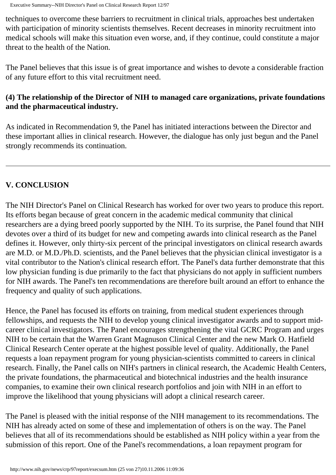techniques to overcome these barriers to recruitment in clinical trials, approaches best undertaken with participation of minority scientists themselves. Recent decreases in minority recruitment into medical schools will make this situation even worse, and, if they continue, could constitute a major threat to the health of the Nation.

The Panel believes that this issue is of great importance and wishes to devote a considerable fraction of any future effort to this vital recruitment need.

### **(4) The relationship of the Director of NIH to managed care organizations, private foundations and the pharmaceutical industry.**

As indicated in Recommendation 9, the Panel has initiated interactions between the Director and these important allies in clinical research. However, the dialogue has only just begun and the Panel strongly recommends its continuation.

# **V. CONCLUSION**

The NIH Director's Panel on Clinical Research has worked for over two years to produce this report. Its efforts began because of great concern in the academic medical community that clinical researchers are a dying breed poorly supported by the NIH. To its surprise, the Panel found that NIH devotes over a third of its budget for new and competing awards into clinical research as the Panel defines it. However, only thirty-six percent of the principal investigators on clinical research awards are M.D. or M.D./Ph.D. scientists, and the Panel believes that the physician clinical investigator is a vital contributor to the Nation's clinical research effort. The Panel's data further demonstrate that this low physician funding is due primarily to the fact that physicians do not apply in sufficient numbers for NIH awards. The Panel's ten recommendations are therefore built around an effort to enhance the frequency and quality of such applications.

Hence, the Panel has focused its efforts on training, from medical student experiences through fellowships, and requests the NIH to develop young clinical investigator awards and to support midcareer clinical investigators. The Panel encourages strengthening the vital GCRC Program and urges NIH to be certain that the Warren Grant Magnuson Clinical Center and the new Mark O. Hatfield Clinical Research Center operate at the highest possible level of quality. Additionally, the Panel requests a loan repayment program for young physician-scientists committed to careers in clinical research. Finally, the Panel calls on NIH's partners in clinical research, the Academic Health Centers, the private foundations, the pharmaceutical and biotechnical industries and the health insurance companies, to examine their own clinical research portfolios and join with NIH in an effort to improve the likelihood that young physicians will adopt a clinical research career.

The Panel is pleased with the initial response of the NIH management to its recommendations. The NIH has already acted on some of these and implementation of others is on the way. The Panel believes that all of its recommendations should be established as NIH policy within a year from the submission of this report. One of the Panel's recommendations, a loan repayment program for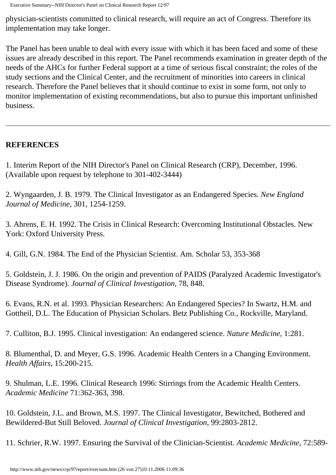physician-scientists committed to clinical research, will require an act of Congress. Therefore its implementation may take longer.

The Panel has been unable to deal with every issue with which it has been faced and some of these issues are already described in this report. The Panel recommends examination in greater depth of the needs of the AHCs for further Federal support at a time of serious fiscal constraint; the roles of the study sections and the Clinical Center, and the recruitment of minorities into careers in clinical research. Therefore the Panel believes that it should continue to exist in some form, not only to monitor implementation of existing recommendations, but also to pursue this important unfinished business.

#### **REFERENCES**

1. Interim Report of the NIH Director's Panel on Clinical Research (CRP), December, 1996. (Available upon request by telephone to 301-402-3444)

2. Wyngaarden, J. B. 1979. The Clinical Investigator as an Endangered Species. *New England Journal of Medicine*, 301, 1254-1259.

3. Ahrens, E. H. 1992. The Crisis in Clinical Research: Overcoming Institutional Obstacles. New York: Oxford University Press.

4. Gill, G.N. 1984. The End of the Physician Scientist. Am. Scholar 53, 353-368

5. Goldstein, J. J. 1986. On the origin and prevention of PAIDS (Paralyzed Academic Investigator's Disease Syndrome). *Journal of Clinical Investigation*, 78, 848.

6. Evans, R.N. et al. 1993. Physician Researchers: An Endangered Species? In Swartz, H.M. and Gottheil, D.L. The Education of Physician Scholars. Betz Publishing Co., Rockville, Maryland.

7. Culliton, B.J. 1995. Clinical investigation: An endangered science. *Nature Medicine*, 1:281.

8. Blumenthal, D. and Meyer, G.S. 1996. Academic Health Centers in a Changing Environment. *Health Affairs*, 15:200-215.

9. Shulman, L.E. 1996. Clinical Research 1996: Stirrings from the Academic Health Centers. *Academic Medicine* 71:362-363, 398.

10. Goldstein, J.L. and Brown, M.S. 1997. The Clinical Investigator, Bewitched, Bothered and Bewildered-But Still Beloved. *Journal of Clinical Investigation*, 99:2803-2812.

11. Schrier, R.W. 1997. Ensuring the Survival of the Clinician-Scientist. *Academic Medicine*, 72:589